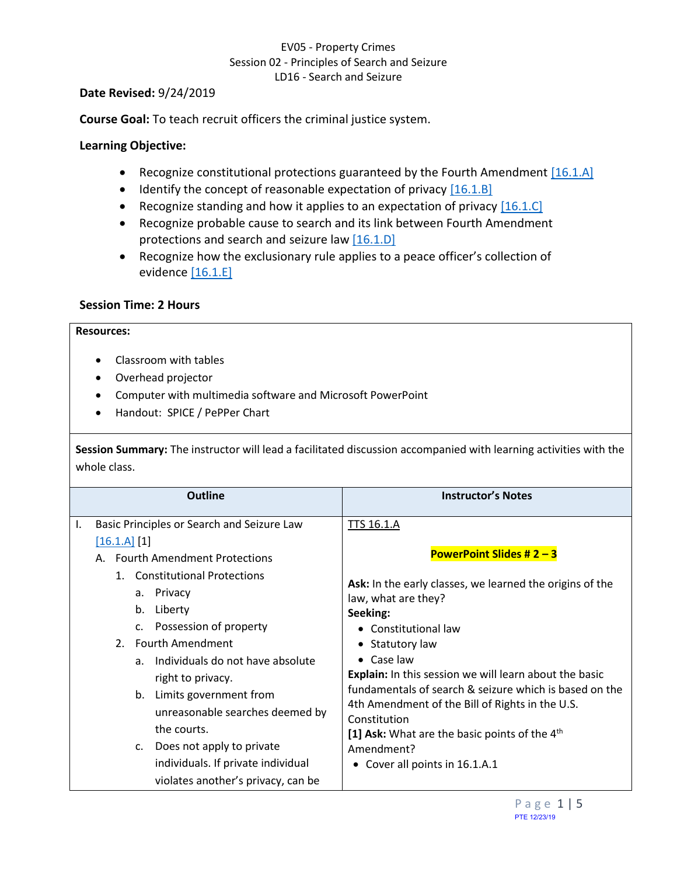## <span id="page-0-4"></span><span id="page-0-3"></span><span id="page-0-1"></span>EV05 - Property Crimes Session 02 - Principles of Search and Seizure LD16 - Search and Seizure

### **Date Revised:** 9/24/2019

**Course Goal:** To teach recruit officers the criminal justice system.

### <span id="page-0-2"></span>**Learning Objective:**

- Recognize constitutional protections guaranteed by the Fourth Amendment  $[16.1.A]$
- $\bullet$  Identify the concept of reasonable expectation of privacy  $[16.1.8]$
- Recognize standing and how it applies to an expectation of privacy  $[16.1.C]$
- Recognize probable cause to search and its link between Fourth Amendment protections and search and seizure law  $[16.1.D]$
- <span id="page-0-5"></span>• Recognize how the exclusionary rule applies to a peace officer's collection of evidence [\[16.1.E\]](#page-3-1)

### **Session Time: 2 Hours**

### **Resources:**

- Classroom with tables
- Overhead projector
- Computer with multimedia software and Microsoft PowerPoint
- Handout: SPICE / PePPer Chart

**Session Summary:** The instructor will lead a facilitated discussion accompanied with learning activities with the whole class.

<span id="page-0-0"></span>

|    | <b>Outline</b>                                                                                                                                                                                                                                                                                                                                                                                                                                                                                                                                             | <b>Instructor's Notes</b>                                                                                                                                                                                                                                                                                                                                                                                                                                                                                                      |
|----|------------------------------------------------------------------------------------------------------------------------------------------------------------------------------------------------------------------------------------------------------------------------------------------------------------------------------------------------------------------------------------------------------------------------------------------------------------------------------------------------------------------------------------------------------------|--------------------------------------------------------------------------------------------------------------------------------------------------------------------------------------------------------------------------------------------------------------------------------------------------------------------------------------------------------------------------------------------------------------------------------------------------------------------------------------------------------------------------------|
| Ι. | Basic Principles or Search and Seizure Law<br>[16.1.A] [1]<br>A. Fourth Amendment Protections<br><b>Constitutional Protections</b><br>$1_{-}$<br>a. Privacy<br>Liberty<br>b.<br>Possession of property<br>C <sub>1</sub><br><b>Fourth Amendment</b><br>2 <sub>1</sub><br>Individuals do not have absolute<br>a <sub>1</sub><br>right to privacy.<br>b. Limits government from<br>unreasonable searches deemed by<br>the courts.<br>Does not apply to private<br>$\mathsf{C}$ .<br>individuals. If private individual<br>violates another's privacy, can be | <b>TTS 16.1.A</b><br><b>PowerPoint Slides # 2 - 3</b><br>Ask: In the early classes, we learned the origins of the<br>law, what are they?<br>Seeking:<br>• Constitutional law<br>• Statutory law<br>$\bullet$ Case law<br><b>Explain:</b> In this session we will learn about the basic<br>fundamentals of search & seizure which is based on the<br>4th Amendment of the Bill of Rights in the U.S.<br>Constitution<br>[1] Ask: What are the basic points of the 4 <sup>th</sup><br>Amendment?<br>Cover all points in 16.1.A.1 |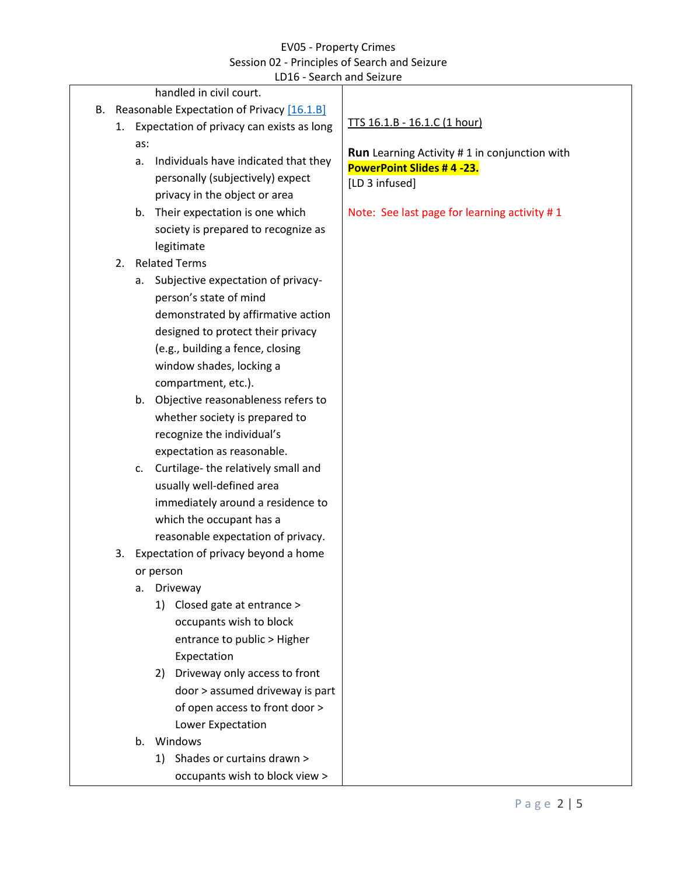### <span id="page-1-0"></span>EV05 - Property Crimes Session 02 - Principles of Search and Seizure LD16 - Search and Seizure

|    |                                            |     |                                              | <b>PLATULATION PLATUL</b>                           |
|----|--------------------------------------------|-----|----------------------------------------------|-----------------------------------------------------|
|    |                                            |     | handled in civil court.                      |                                                     |
| В. | Reasonable Expectation of Privacy [16.1.B] |     |                                              | TTS 16.1.B - 16.1.C (1 hour)                        |
|    |                                            |     | 1. Expectation of privacy can exists as long |                                                     |
|    |                                            | as: |                                              | <b>Run</b> Learning Activity #1 in conjunction with |
|    |                                            | a.  | Individuals have indicated that they         | PowerPoint Slides #4-23.                            |
|    |                                            |     | personally (subjectively) expect             | [LD 3 infused]                                      |
|    |                                            |     | privacy in the object or area                |                                                     |
|    |                                            |     | b. Their expectation is one which            | Note: See last page for learning activity #1        |
|    |                                            |     | society is prepared to recognize as          |                                                     |
|    |                                            |     | legitimate                                   |                                                     |
|    | 2.                                         |     | <b>Related Terms</b>                         |                                                     |
|    |                                            | а.  | Subjective expectation of privacy-           |                                                     |
|    |                                            |     | person's state of mind                       |                                                     |
|    |                                            |     | demonstrated by affirmative action           |                                                     |
|    |                                            |     | designed to protect their privacy            |                                                     |
|    |                                            |     | (e.g., building a fence, closing             |                                                     |
|    |                                            |     | window shades, locking a                     |                                                     |
|    |                                            |     | compartment, etc.).                          |                                                     |
|    |                                            |     | b. Objective reasonableness refers to        |                                                     |
|    |                                            |     | whether society is prepared to               |                                                     |
|    |                                            |     | recognize the individual's                   |                                                     |
|    |                                            |     | expectation as reasonable.                   |                                                     |
|    |                                            | c.  | Curtilage-the relatively small and           |                                                     |
|    |                                            |     | usually well-defined area                    |                                                     |
|    |                                            |     | immediately around a residence to            |                                                     |
|    |                                            |     | which the occupant has a                     |                                                     |
|    |                                            |     | reasonable expectation of privacy.           |                                                     |
|    | 3.                                         |     | Expectation of privacy beyond a home         |                                                     |
|    |                                            |     |                                              |                                                     |
|    | or person<br>а.                            |     | Driveway                                     |                                                     |
|    |                                            |     | 1) Closed gate at entrance >                 |                                                     |
|    |                                            |     | occupants wish to block                      |                                                     |
|    |                                            |     |                                              |                                                     |
|    |                                            |     | entrance to public > Higher                  |                                                     |
|    |                                            |     | Expectation                                  |                                                     |
|    |                                            |     | Driveway only access to front<br>2)          |                                                     |
|    |                                            |     | door > assumed driveway is part              |                                                     |
|    |                                            |     | of open access to front door >               |                                                     |
|    |                                            |     | Lower Expectation                            |                                                     |
|    |                                            |     | b. Windows                                   |                                                     |
|    |                                            |     | 1) Shades or curtains drawn >                |                                                     |
|    |                                            |     | occupants wish to block view >               |                                                     |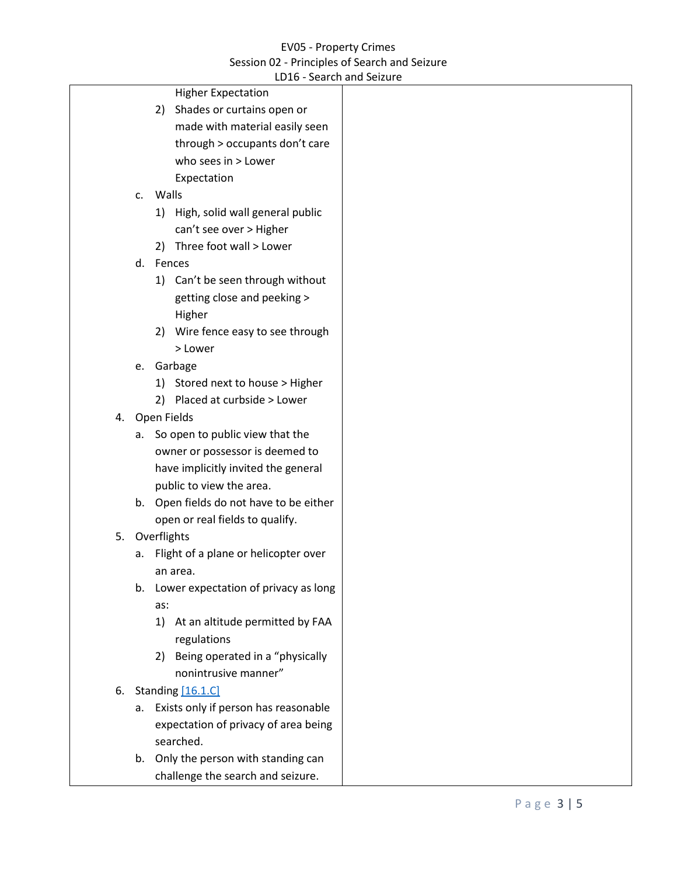## EV05 - Property Crimes Session 02 - Principles of Search and Seizure

<span id="page-2-0"></span>

|  |               | LD16 - Search and Seizure               |  |
|--|---------------|-----------------------------------------|--|
|  |               | <b>Higher Expectation</b>               |  |
|  |               | Shades or curtains open or<br>2)        |  |
|  |               | made with material easily seen          |  |
|  |               | through > occupants don't care          |  |
|  |               | who sees in > Lower                     |  |
|  |               | Expectation                             |  |
|  | $C_{\bullet}$ | Walls                                   |  |
|  |               | High, solid wall general public<br>1)   |  |
|  |               | can't see over > Higher                 |  |
|  |               | Three foot wall > Lower<br>2)           |  |
|  |               | d. Fences                               |  |
|  |               | 1) Can't be seen through without        |  |
|  |               | getting close and peeking >             |  |
|  |               | Higher                                  |  |
|  |               | Wire fence easy to see through<br>2)    |  |
|  |               | > Lower                                 |  |
|  | e.            | Garbage                                 |  |
|  |               | 1) Stored next to house > Higher        |  |
|  |               | Placed at curbside > Lower<br>2)        |  |
|  |               | 4. Open Fields                          |  |
|  | а.            | So open to public view that the         |  |
|  |               | owner or possessor is deemed to         |  |
|  |               | have implicitly invited the general     |  |
|  |               | public to view the area.                |  |
|  |               | b. Open fields do not have to be either |  |
|  |               | open or real fields to qualify.         |  |
|  |               | 5. Overflights                          |  |
|  | а.            | Flight of a plane or helicopter over    |  |
|  |               | an area.                                |  |
|  |               | b. Lower expectation of privacy as long |  |
|  |               | as:                                     |  |
|  |               | At an altitude permitted by FAA<br>1)   |  |
|  |               | regulations                             |  |
|  |               | Being operated in a "physically<br>2)   |  |
|  |               | nonintrusive manner"                    |  |
|  |               | 6. Standing [16.1.C]                    |  |
|  |               | a. Exists only if person has reasonable |  |
|  |               | expectation of privacy of area being    |  |
|  |               | searched.                               |  |
|  |               | b. Only the person with standing can    |  |
|  |               | challenge the search and seizure.       |  |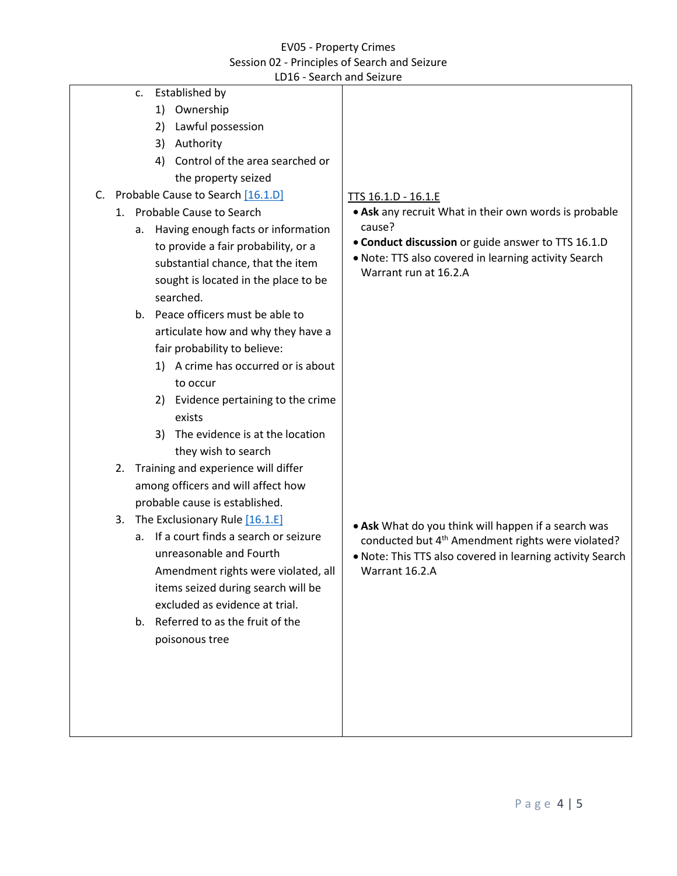# <span id="page-3-0"></span>EV05 - Property Crimes Session 02 - Principles of Search and Seizure

<span id="page-3-1"></span>

| LD16 - Search and Seizure<br>Established by<br>c.<br>1) Ownership<br>2) Lawful possession<br>3) Authority<br>Control of the area searched or<br>4)<br>the property seized<br>C. Probable Cause to Search [16.1.D]<br>1. Probable Cause to Search<br>Having enough facts or information<br>a.                                                                                                                 | TTS 16.1.D - 16.1.E<br>• Ask any recruit What in their own words is probable<br>cause?<br>• Conduct discussion or guide answer to TTS 16.1.D                                                        |
|--------------------------------------------------------------------------------------------------------------------------------------------------------------------------------------------------------------------------------------------------------------------------------------------------------------------------------------------------------------------------------------------------------------|-----------------------------------------------------------------------------------------------------------------------------------------------------------------------------------------------------|
| to provide a fair probability, or a<br>substantial chance, that the item<br>sought is located in the place to be<br>searched.<br>b. Peace officers must be able to<br>articulate how and why they have a<br>fair probability to believe:<br>1) A crime has occurred or is about<br>to occur<br>2) Evidence pertaining to the crime<br>exists<br>The evidence is at the location<br>3)<br>they wish to search | . Note: TTS also covered in learning activity Search<br>Warrant run at 16.2.A                                                                                                                       |
| Training and experience will differ<br>2.<br>among officers and will affect how<br>probable cause is established.                                                                                                                                                                                                                                                                                            |                                                                                                                                                                                                     |
| The Exclusionary Rule [16.1.E]<br>3.<br>If a court finds a search or seizure<br>a.<br>unreasonable and Fourth<br>Amendment rights were violated, all<br>items seized during search will be<br>excluded as evidence at trial.                                                                                                                                                                                 | • Ask What do you think will happen if a search was<br>conducted but 4 <sup>th</sup> Amendment rights were violated?<br>. Note: This TTS also covered in learning activity Search<br>Warrant 16.2.A |
| Referred to as the fruit of the<br>b.<br>poisonous tree                                                                                                                                                                                                                                                                                                                                                      |                                                                                                                                                                                                     |